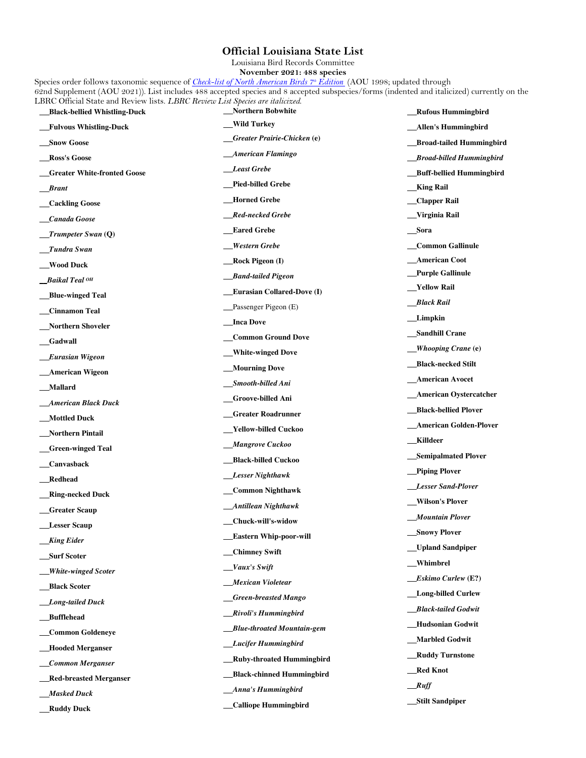## **Official Louisiana State List**

Louisiana Bird Records Committee

**November 2021: 488 species**

Species order follows taxonomic sequence of *Check-list of North American Birds 7th Edition* (AOU 1998; updated through 62nd Supplement (AOU 2021)). List includes 488 accepted species and 8 accepted subspecies/forms (indented and italicized) currently on the LBRC Official State and Review lists. *LBRC Review List Species are italicized*.  **Black-bellied Whistling-Duck Northern Bobwhite Rufous Hummingbird**

| _Fulvous Whistling-Duck          | __Wild Turkey                        | Allen's Hummingbird         |
|----------------------------------|--------------------------------------|-----------------------------|
| <b>Snow Goose</b>                | <u>– Greater Prairie-Chicken (e)</u> | _Broad-tailed Hummingbird   |
| <b>_Ross's Goose</b>             | _American Flamingo                   | _Broad-billed Hummingbird   |
| _Greater White-fronted Goose     | Least Grebe                          | __Buff-bellied Hummingbird  |
| <b>Brant</b>                     | __Pied-billed Grebe                  | <b>King Rail</b>            |
| _Cackling Goose                  | _Horned Grebe                        | __Clapper Rail              |
| _Canada Goose                    | __Red-necked Grebe                   | __Virginia Rail             |
| $\mathbf{\_}$ Trumpeter Swan (Q) | <b>Eared Grebe</b>                   | __Sora                      |
| $_I$ Tundra Swan                 | <b>Western Grebe</b>                 | Common Gallinule            |
| _Wood Duck                       | __Rock Pigeon (I)                    | _American Coot              |
| Baikal Teal OH                   | __Band-tailed Pigeon                 | _Purple Gallinule           |
| _Blue-winged Teal                | __Eurasian Collared-Dove (I)         | __Yellow Rail               |
| _Cinnamon Teal                   | _Passenger Pigeon (E)                | <u>___Black Rail</u>        |
|                                  | <b>Inca Dove</b>                     | <b>Limpkin</b>              |
| _Northern Shoveler               | _Common Ground Dove                  | _Sandhill Crane             |
| <b>_Gadwall</b>                  | __White-winged Dove                  | <i>Whooping Crane</i> (e)   |
| <b>Eurasian Wigeon</b>           | __Mourning Dove                      | __Black-necked Stilt        |
| _American Wigeon                 | __Smooth-billed Ani                  | _American Avocet            |
| _Mallard                         | __Groove-billed Ani                  | __American Oystercatcher    |
| _American Black Duck             | <b>_Greater Roadrunner</b>           | __Black-bellied Plover      |
| _Mottled Duck                    | __Yellow-billed Cuckoo               | _American Golden-Plover     |
| _Northern Pintail                | __Mangrove Cuckoo                    | <b>Killdeer</b>             |
| _Green-winged Teal               |                                      | __Semipalmated Plover       |
| _Canvasback                      | __Black-billed Cuckoo                | _Piping Plover              |
| _Redhead                         | _Lesser Nighthawk                    | <b>__Lesser Sand-Plover</b> |
| <b>Ring-necked Duck</b>          | __Common Nighthawk                   | __Wilson's Plover           |
| <b>Greater Scaup</b>             | _Antillean Nighthawk                 | Mountain Plover             |
| <b>Lesser Scaup</b>              | _Chuck-will's-widow                  | <b>Snowy Plover</b>         |
| <b>King Eider</b>                | _Eastern Whip-poor-will              | _Upland Sandpiper           |
| Surf Scoter                      | _Chimney Swift                       | __Whimbrel                  |
| <b>White-winged Scoter</b>       | Vaux's Swift                         | <i>Eskimo Curlew</i> (E?)   |
| Black Scoter                     | __Mexican Violetear                  |                             |
| _Long-tailed Duck                | <b>_Green-breasted Mango</b>         | __Long-billed Curlew        |
| _Bufflehead                      | __Rivoli's Hummingbird               | <b>Black-tailed Godwit</b>  |
| _Common Goldeneye                | __Blue-throated Mountain-gem         | <b>Hudsonian Godwit</b>     |
| <b>Hooded Merganser</b>          | <b>Lucifer Hummingbird</b>           | __Marbled Godwit            |
| _Common Merganser                | <b>Ruby-throated Hummingbird</b>     | _Ruddy Turnstone            |
| <b>_Red-breasted Merganser</b>   | _Black-chinned Hummingbird           | __Red Knot                  |
| _Masked Duck                     | __Anna's Hummingbird                 | $\mu$                       |
| <b>Ruddy Duck</b>                | _Calliope Hummingbird                | ___Stilt Sandpiper          |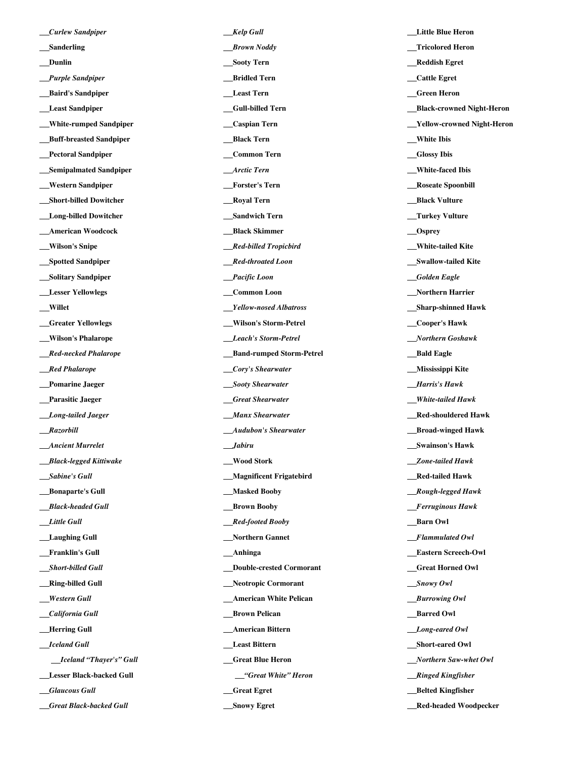*Curlew Sandpiper*  **Sanderling Dunlin** *Purple Sandpiper*  **Baird's Sandpiper Least Sandpiper White-rumped Sandpiper Buff-breasted Sandpiper Pectoral Sandpiper Semipalmated Sandpiper Western Sandpiper Short-billed Dowitcher Long-billed Dowitcher American Woodcock Wilson's Snipe Spotted Sandpiper Solitary Sandpiper Lesser Yellowlegs Willet Greater Yellowlegs Wilson's Phalarope** *Red-necked Phalarope* *Red Phalarope*  **Pomarine Jaeger Parasitic Jaeger** *Long-tailed Jaeger* *Razorbill* *Ancient Murrelet* *Black-legged Kittiwake* *Sabine's Gull* **Bonaparte's Gull** *Black-headed Gull* *Little Gull*  **Laughing Gull Franklin's Gull**  *Short-billed Gull* **Ring-billed Gull** *Western Gull* *California Gull* **Herring Gull** *Iceland Gull* *Iceland "Thayer's" Gull*  **Lesser Black-backed Gull** *Glaucous Gull* *Great Black-backed Gull*

*Kelp Gull* *Brown Noddy*  **Sooty Tern Bridled Tern Least Tern Gull-billed Tern Caspian Tern Black Tern Common Tern** *Arctic Tern*  **Forster's Tern Royal Tern Sandwich Tern Black Skimmer** *Red-billed Tropicbird* *Red-throated Loon* *Pacific Loon*  **Common Loon** *Yellow-nosed Albatross*  **Wilson's Storm-Petrel** *Leach's Storm-Petrel*  **Band-rumped Storm-Petrel** *Cory's Shearwater* *Sooty Shearwater* *Great Shearwater* *Manx Shearwater* *Audubon's Shearwater* *Jabiru*  **Wood Stork Magnificent Frigatebird Masked Booby Brown Booby** *Red-footed Booby*  **Northern Gannet Anhinga Double-crested Cormorant Neotropic Cormorant American White Pelican Brown Pelican American Bittern Least Bittern Great Blue Heron** *"Great White" Heron*  **Great Egret**

 **Snowy Egret**

 **Little Blue Heron Tricolored Heron Reddish Egret Cattle Egret Green Heron Black-crowned Night-Heron Yellow-crowned Night-Heron White Ibis Glossy Ibis White-faced Ibis Roseate Spoonbill Black Vulture Turkey Vulture Osprey White-tailed Kite Swallow-tailed Kite** *Golden Eagle*  **Northern Harrier Sharp-shinned Hawk Cooper's Hawk** *Northern Goshawk* **Bald Eagle Mississippi Kite** *Harris's Hawk* *White-tailed Hawk*  **Red-shouldered Hawk Broad-winged Hawk Swainson's Hawk** *Zone-tailed Hawk*  **Red-tailed Hawk** *Rough-legged Hawk* *Ferruginous Hawk*  **Barn Owl** *Flammulated Owl*  **Eastern Screech-Owl Great Horned Owl** *Snowy Owl* *Burrowing Owl* **Barred Owl** *Long-eared Owl*  **Short-eared Owl** *Northern Saw-whet Owl* *Ringed Kingfisher*  **Belted Kingfisher**

 **Red-headed Woodpecker**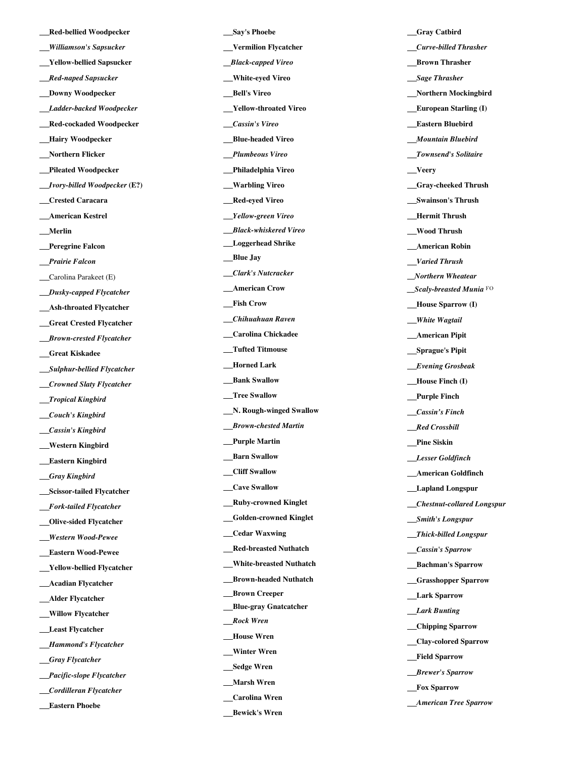**Red -bellied Woodpecker** *Williamson's Sapsucker*  **Yellow -bellied Sapsucker** *Red-naped Sapsucker*  **Downy Woodpecker** *Ladder-backed Woodpecker*  **Red - cockaded Woodpecker Hairy Woodpecker Northern Flicker Pileated Woodpecker** *Ivory -billed Woodpecker* **(E?) Crested Caracara American Kestrel Merlin Peregrine Falcon** *Prairie Falcon* Carolina Parakeet (E)  *Dusky -capped Flycatcher*  **Ash -throated Flycatcher Great Crested Flycatcher** *Brown -crested Flycatcher*  **Great Kiskadee** *Sulphur-bellied Flycatcher* *Crowned Slaty Flycatcher* *Tropical Kingbird* *Couch's Kingbird* *Cassin's Kingbird*  **Western Kingbird Eastern Kingbird** *Gray Kingbird*  **Scissor -tailed Flycatcher** *Fork -tailed Flycatcher*  **Olive -sided Flycatcher** *Western Wood-Pewee*  **Eastern Wood -Pewee Yellow -bellied Flycatcher Acadian Flycatcher Alder Flycatcher Willow Flycatcher Least Flycatcher** *Hammond's Flycatcher* *Gray Flycatcher* *Pacific -slope Flycatcher* *Cordilleran Flycatcher*

 **Eastern Phoebe**

 **Say's Phoebe Vermilion Flycatcher** *Black -capped Vireo*  **White -eyed Vireo Bell's Vireo Yellow -throated Vireo** *Cassin's Vireo*  **Blue -headed Vireo** *Plumbeous Vireo*  **Philadelphia Vireo Warbling Vireo Red -eyed Vireo**  *Y ellow -green Vireo* *Black -whiskered Vireo*  **Loggerhead Shrike Blue Jay** *Clark's Nutcracker*  **American Crow Fish Crow** *Chihuahuan Raven*  **Carolina Chickadee Tufted Titmouse Horned Lark Bank Swallow Tree Swallow N. Rough -winged Swallow** *Brow n -chested Marti n*  **Purple Martin Barn Swallow Cliff Swallow Cave Swallow Ruby -crowned Kinglet Golden -crowned Kinglet Cedar Waxwing Red -breasted Nuthatch White -breasted Nuthatch Brown -headed Nuthatch Brown Creeper Blue -gray Gnatcatcher** *Rock Wren*  **House Wren Winter Wren Sedge Wren Marsh Wren Carolina Wren Bewick's Wren**

**Catbird** *Curve -billed Thrasher*  **Brown Thrasher** *Sage Thrasher*  **Northern Mockingbird European Starling (I) Eastern Bluebird** *Mountain Bluebird* *Townsend's Solitaire*  **Veery Gray -cheeked Thrush Swainson's Thrush Hermit Thrush Wood Thrush American Robin** *Varied Thrush* *Northern Wheatear \_\_Scaly -breasted Munia* FO *Mouse Sparrow (I)* *White Wagtail*  **American Pipit Sprague's Pipit** *Evening Grosbeak* **House Finch (I) Purple Finch** *Cassin ' s Finch* *Red Crossbill*  **Pine Siskin** *Lesser Goldfinch*  **American Goldfinch Lapland Longspur** *Chestnut-collared Longspur* *Smith's Longspur* *Thick -billed Longspur* *Cassin's Sparrow*  **Bachman's Sparrow Grasshopper Sparrow Lark Sparrow** *Lark Bunting*  **Chipping Sparrow Clay -colored Sparrow Field Sparrow** *Brewer's Sparrow*  **Fox Sparrow** *American Tree Sparrow*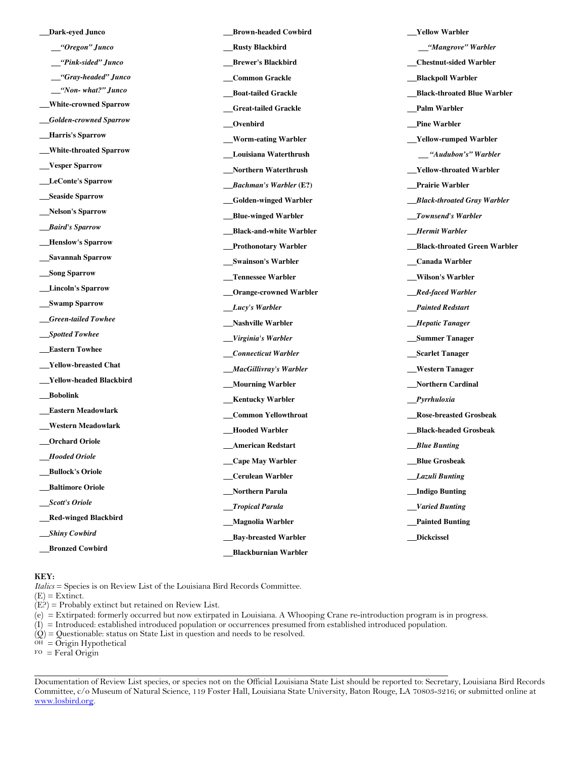| Dark-eyed Junco                 | _Brown-headed Cowbird          | <b>Yellow Warbler</b>          |
|---------------------------------|--------------------------------|--------------------------------|
| "Oregon" Junco                  | <b>Rusty Blackbird</b>         | "Mangrove" Warbler             |
| _"Pink-sided" Junco             | _Brewer's Blackbird            | <b>Chestnut-sided Warbler</b>  |
| __"Gray-headed" Junco           | _Common Grackle                | _Blackpoll Warbler             |
| $\frac{Non - what?}{Junco}$     | _Boat-tailed Grackle           | _Black-throated Blue Warbler   |
| __White-crowned Sparrow         | <b>_Great-tailed Grackle</b>   | _Palm Warbler                  |
| <b>__Golden-crowned Sparrow</b> | _Ovenbird                      | _Pine Warbler                  |
| <b>Harris's Sparrow</b>         | _Worm-eating Warbler           | _Yellow-rumped Warbler         |
| __White-throated Sparrow        | __Louisiana Waterthrush        | <u>___</u> "Audubon's" Warbler |
| __Vesper Sparrow                | _Northern Waterthrush          | _Yellow-throated Warbler       |
| __LeConte's Sparrow             | $\_$ Bachman's Warbler (E?)    | Prairie Warbler_               |
| __Seaside Sparrow               | __Golden-winged Warbler        | _Black-throated Gray Warbler   |
| <b>__Nelson's Sparrow</b>       | _Blue-winged Warbler           | _Townsend's Warbler            |
| <b>Baird's Sparrow</b>          | _Black-and-white Warbler       | _Hermit Warbler                |
| __Henslow's Sparrow             | _Prothonotary Warbler          | _Black-throated Green Warbler  |
| <b>Savannah Sparrow</b>         | _Swainson's Warbler            | _Canada Warbler                |
| Song Sparrow                    | _Tennessee Warbler             | _Wilson's Warbler              |
| <b>Lincoln's Sparrow</b>        | <b>_Orange-crowned Warbler</b> | __Red-faced Warbler            |
| <b>Swamp Sparrow</b>            | _Lucy's Warbler                | <b>_Painted Redstart</b>       |
| __Green-tailed Towhee           | _Nashville Warbler             | <b>Hepatic Tanager</b>         |
| __Spotted Towhee                | _Virginia's Warbler            | <b>Summer Tanager</b>          |
| <b>__Eastern Towhee</b>         | _Connecticut Warbler           | <b>Scarlet Tanager</b>         |
| __Yellow-breasted Chat          | _MacGillivray's Warbler        | _Western Tanager               |
| __Yellow-headed Blackbird       | __Mourning Warbler             | _Northern Cardinal             |
| __Bobolink                      | <b>Kentucky Warbler</b>        | _Pyrrhuloxia                   |
| __Eastern Meadowlark            | <b>Common Yellowthroat</b>     | <b>Rose-breasted Grosbeak</b>  |
| __Western Meadowlark            | _Hooded Warbler                | _Black-headed Grosbeak         |
| <b>_Orchard Oriole</b>          | <b>American Redstart</b>       | <b>Blue Bunting</b>            |
| <b>Hooded Oriole</b>            | __Cape May Warbler             | <b>Blue Grosbeak</b>           |
| _Bullock's Oriole               | Cerulean Warbler               | Lazuli Bunting                 |
| <b>Baltimore Oriole</b>         | Northern Parula                | _Indigo Bunting                |
| _Scott's Oriole                 | <b>Tropical Parula</b>         | <i><u>Varied Bunting</u></i>   |
| _Red-winged Blackbird           | _Magnolia Warbler              | <b>Painted Bunting</b>         |
| <b>Shiny Cowbird</b>            | <b>Bay-breasted Warbler</b>    | <b>Dickcissel</b>              |
| <b>Bronzed Cowbird</b>          |                                |                                |
|                                 | <b>Blackburnian Warbler</b>    |                                |

## **KEY:**

*Italics* = Species is on Review List of the Louisiana Bird Records Committee.

 $(E) =$  Extinct.

 $(E<sup>2</sup>)$  = Probably extinct but retained on Review List.

(e) = Extirpated: formerly occurred but now extirpated in Louisiana. A Whooping Crane re-introduction program is in progress.

 $(I)$  = Introduced: established introduced population or occurrences presumed from established introduced population.

 $(Q)$  = Questionable: status on State List in question and needs to be resolved.

 $^{OH}$  = Origin Hypothetical

 $FO = Feral Origin$ 

Documentation of Review List species, or species not on the Official Louisiana State List should be reported to: Secretary, Louisiana Bird Records Committee, c/o Museum of Natural Science, 119 Foster Hall, Louisiana State University, Baton Rouge, LA 70803-3216; or submitted online at www.losbird.org.